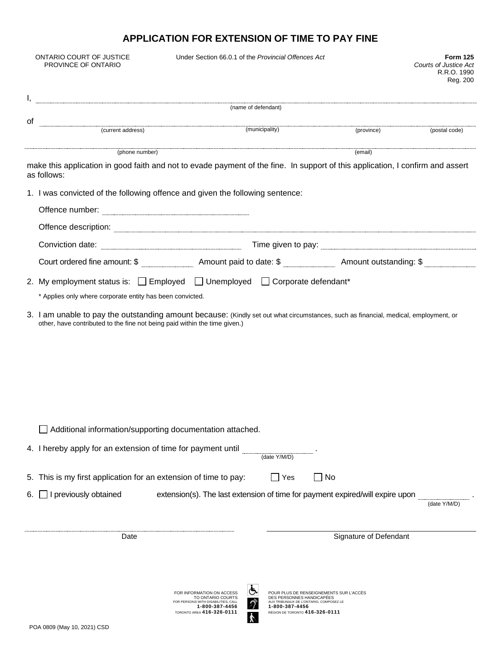## **APPLICATION FOR EXTENSION OF TIME TO PAY FINE**

|                                                                               | ONTARIO COURT OF JUSTICE<br>PROVINCE OF ONTARIO                                                                                                                                                                                | Under Section 66.0.1 of the Provincial Offences Act                                                                                                         |                                                                                                                                                                     |                        | <b>Form 125</b><br><b>Courts of Justice Act</b><br>R.R.O. 1990<br>Reg. 200 |
|-------------------------------------------------------------------------------|--------------------------------------------------------------------------------------------------------------------------------------------------------------------------------------------------------------------------------|-------------------------------------------------------------------------------------------------------------------------------------------------------------|---------------------------------------------------------------------------------------------------------------------------------------------------------------------|------------------------|----------------------------------------------------------------------------|
|                                                                               | (name of defendant)                                                                                                                                                                                                            |                                                                                                                                                             |                                                                                                                                                                     |                        |                                                                            |
| 0f                                                                            |                                                                                                                                                                                                                                |                                                                                                                                                             |                                                                                                                                                                     |                        |                                                                            |
|                                                                               | example and the contract of the contract of the contract of the contract of the contract of the contract of the contract of the contract of the contract of the contract of the contract of the contract of the contract of th |                                                                                                                                                             | (municipality)                                                                                                                                                      | (province)             | (postal code)                                                              |
|                                                                               | (phone number)                                                                                                                                                                                                                 |                                                                                                                                                             |                                                                                                                                                                     | (email)                |                                                                            |
|                                                                               | make this application in good faith and not to evade payment of the fine. In support of this application, I confirm and assert<br>as follows:                                                                                  |                                                                                                                                                             |                                                                                                                                                                     |                        |                                                                            |
| 1. I was convicted of the following offence and given the following sentence: |                                                                                                                                                                                                                                |                                                                                                                                                             |                                                                                                                                                                     |                        |                                                                            |
|                                                                               |                                                                                                                                                                                                                                |                                                                                                                                                             |                                                                                                                                                                     |                        |                                                                            |
|                                                                               |                                                                                                                                                                                                                                |                                                                                                                                                             |                                                                                                                                                                     |                        |                                                                            |
|                                                                               |                                                                                                                                                                                                                                |                                                                                                                                                             |                                                                                                                                                                     |                        |                                                                            |
|                                                                               |                                                                                                                                                                                                                                |                                                                                                                                                             |                                                                                                                                                                     |                        |                                                                            |
|                                                                               | 2. My employment status is: $\Box$ Employed $\Box$ Unemployed $\Box$ Corporate defendant*<br>* Applies only where corporate entity has been convicted.                                                                         |                                                                                                                                                             |                                                                                                                                                                     |                        |                                                                            |
|                                                                               | other, have contributed to the fine not being paid within the time given.)                                                                                                                                                     |                                                                                                                                                             |                                                                                                                                                                     |                        |                                                                            |
|                                                                               | Additional information/supporting documentation attached.                                                                                                                                                                      |                                                                                                                                                             |                                                                                                                                                                     |                        |                                                                            |
|                                                                               | 4. I hereby apply for an extension of time for payment until                                                                                                                                                                   |                                                                                                                                                             | (date Y/M/D)                                                                                                                                                        |                        |                                                                            |
|                                                                               | 5. This is my first application for an extension of time to pay:                                                                                                                                                               |                                                                                                                                                             | $\Box$<br>Yes                                                                                                                                                       | No                     |                                                                            |
| 6.                                                                            | I previously obtained                                                                                                                                                                                                          | extension(s). The last extension of time for payment expired/will expire upon                                                                               |                                                                                                                                                                     |                        | (date Y/M/D)                                                               |
| Date                                                                          |                                                                                                                                                                                                                                |                                                                                                                                                             |                                                                                                                                                                     | Signature of Defendant |                                                                            |
|                                                                               | POA 0809 (May 10, 2021) CSD                                                                                                                                                                                                    | FOR INFORMATION ON ACCESS<br>TO ONTARIO COURTS<br>FOR PERSONS WITH DISABILITIES, CALL<br>1-800-387-4456<br><b>TORONTO AREA 416-326-0111</b><br>$\mathbf{v}$ | POUR PLUS DE RENSEIGNEMENTS SUR L'ACCÈS<br>DES PERSONNES HANDICAPÉES<br>AUX TRIBUNAUX DE L'ONTARIO, COMPOSEZ LE<br>1-800-387-4456<br>RÉGION DE TORONTO 416-326-0111 |                        |                                                                            |